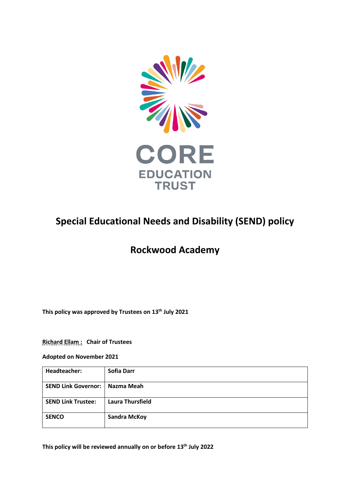

# **Special Educational Needs and Disability (SEND) policy**

## **Rockwood Academy**

**This policy was approved by Trustees on 13th July 2021**

**Richard Ellam : Chair of Trustees**

**Adopted on November 2021**

| Headteacher:                     | Sofia Darr              |
|----------------------------------|-------------------------|
| SEND Link Governor:   Nazma Meah |                         |
| <b>SEND Link Trustee:</b>        | <b>Laura Thursfield</b> |
| <b>SENCO</b>                     | <b>Sandra McKoy</b>     |

**This policy will be reviewed annually on or before 13th July 2022**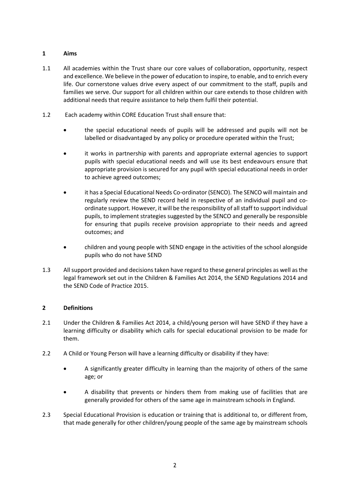## **1 Aims**

- 1.1 All academies within the Trust share our core values of collaboration, opportunity, respect and excellence. We believe in the power of education to inspire, to enable, and to enrich every life. Our cornerstone values drive every aspect of our commitment to the staff, pupils and families we serve. Our support for all children within our care extends to those children with additional needs that require assistance to help them fulfil their potential.
- 1.2 Each academy within CORE Education Trust shall ensure that:
	- the special educational needs of pupils will be addressed and pupils will not be labelled or disadvantaged by any policy or procedure operated within the Trust;
	- it works in partnership with parents and appropriate external agencies to support pupils with special educational needs and will use its best endeavours ensure that appropriate provision is secured for any pupil with special educational needs in order to achieve agreed outcomes;
	- it has a Special Educational Needs Co-ordinator (SENCO). The SENCO will maintain and regularly review the SEND record held in respective of an individual pupil and coordinate support. However, it will be the responsibility of all staff to support individual pupils, to implement strategies suggested by the SENCO and generally be responsible for ensuring that pupils receive provision appropriate to their needs and agreed outcomes; and
	- children and young people with SEND engage in the activities of the school alongside pupils who do not have SEND
- 1.3 All support provided and decisions taken have regard to these general principles as well as the legal framework set out in the Children & Families Act 2014, the SEND Regulations 2014 and the SEND Code of Practice 2015.

## **2 Definitions**

- 2.1 Under the Children & Families Act 2014, a child/young person will have SEND if they have a learning difficulty or disability which calls for special educational provision to be made for them.
- 2.2 A Child or Young Person will have a learning difficulty or disability if they have:
	- A significantly greater difficulty in learning than the majority of others of the same age; or
	- A disability that prevents or hinders them from making use of facilities that are generally provided for others of the same age in mainstream schools in England.
- 2.3 Special Educational Provision is education or training that is additional to, or different from, that made generally for other children/young people of the same age by mainstream schools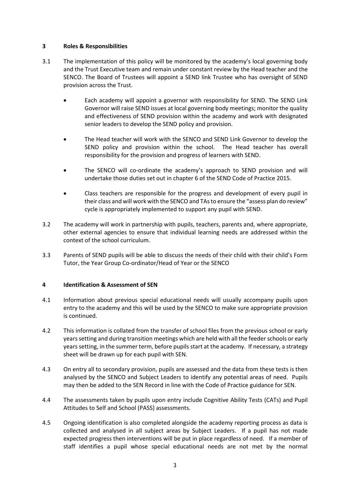#### **3 Roles & Responsibilities**

- 3.1 The implementation of this policy will be monitored by the academy's local governing body and the Trust Executive team and remain under constant review by the Head teacher and the SENCO. The Board of Trustees will appoint a SEND link Trustee who has oversight of SEND provision across the Trust.
	- Each academy will appoint a governor with responsibility for SEND. The SEND Link Governor will raise SEND issues at local governing body meetings; monitor the quality and effectiveness of SEND provision within the academy and work with designated senior leaders to develop the SEND policy and provision.
	- The Head teacher will work with the SENCO and SEND Link Governor to develop the SEND policy and provision within the school. The Head teacher has overall responsibility for the provision and progress of learners with SEND.
	- The SENCO will co-ordinate the academy's approach to SEND provision and will undertake those duties set out in chapter 6 of the SEND Code of Practice 2015.
	- Class teachers are responsible for the progress and development of every pupil in their class and will work with the SENCO and TAs to ensure the "assess plan do review" cycle is appropriately implemented to support any pupil with SEND.
- 3.2 The academy will work in partnership with pupils, teachers, parents and, where appropriate, other external agencies to ensure that individual learning needs are addressed within the context of the school curriculum.
- 3.3 Parents of SEND pupils will be able to discuss the needs of their child with their child's Form Tutor, the Year Group Co-ordinator/Head of Year or the SENCO

#### **4 Identification & Assessment of SEN**

- 4.1 Information about previous special educational needs will usually accompany pupils upon entry to the academy and this will be used by the SENCO to make sure appropriate provision is continued.
- 4.2 This information is collated from the transfer of school files from the previous school or early years setting and during transition meetings which are held with all the feeder schools or early years setting, in the summer term, before pupils start at the academy. If necessary, a strategy sheet will be drawn up for each pupil with SEN.
- 4.3 On entry all to secondary provision, pupils are assessed and the data from these tests is then analysed by the SENCO and Subject Leaders to identify any potential areas of need. Pupils may then be added to the SEN Record in line with the Code of Practice guidance for SEN.
- 4.4 The assessments taken by pupils upon entry include Cognitive Ability Tests (CATs) and Pupil Attitudes to Self and School (PASS) assessments.
- 4.5 Ongoing identification is also completed alongside the academy reporting process as data is collected and analysed in all subject areas by Subject Leaders. If a pupil has not made expected progress then interventions will be put in place regardless of need. If a member of staff identifies a pupil whose special educational needs are not met by the normal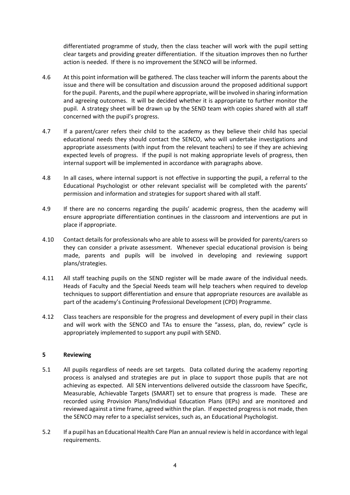differentiated programme of study, then the class teacher will work with the pupil setting clear targets and providing greater differentiation. If the situation improves then no further action is needed. If there is no improvement the SENCO will be informed.

- 4.6 At this point information will be gathered. The class teacher will inform the parents about the issue and there will be consultation and discussion around the proposed additional support for the pupil. Parents, and the pupil where appropriate, will be involved in sharing information and agreeing outcomes. It will be decided whether it is appropriate to further monitor the pupil. A strategy sheet will be drawn up by the SEND team with copies shared with all staff concerned with the pupil's progress.
- 4.7 If a parent/carer refers their child to the academy as they believe their child has special educational needs they should contact the SENCO, who will undertake investigations and appropriate assessments (with input from the relevant teachers) to see if they are achieving expected levels of progress. If the pupil is not making appropriate levels of progress, then internal support will be implemented in accordance with paragraphs above.
- 4.8 In all cases, where internal support is not effective in supporting the pupil, a referral to the Educational Psychologist or other relevant specialist will be completed with the parents' permission and information and strategies for support shared with all staff.
- 4.9 If there are no concerns regarding the pupils' academic progress, then the academy will ensure appropriate differentiation continues in the classroom and interventions are put in place if appropriate.
- 4.10 Contact details for professionals who are able to assess will be provided for parents/carers so they can consider a private assessment. Whenever special educational provision is being made, parents and pupils will be involved in developing and reviewing support plans/strategies.
- 4.11 All staff teaching pupils on the SEND register will be made aware of the individual needs. Heads of Faculty and the Special Needs team will help teachers when required to develop techniques to support differentiation and ensure that appropriate resources are available as part of the academy's Continuing Professional Development (CPD) Programme.
- 4.12 Class teachers are responsible for the progress and development of every pupil in their class and will work with the SENCO and TAs to ensure the "assess, plan, do, review" cycle is appropriately implemented to support any pupil with SEND.

#### **5 Reviewing**

- 5.1 All pupils regardless of needs are set targets. Data collated during the academy reporting process is analysed and strategies are put in place to support those pupils that are not achieving as expected. All SEN interventions delivered outside the classroom have Specific, Measurable, Achievable Targets (SMART) set to ensure that progress is made. These are recorded using Provision Plans/Individual Education Plans (IEPs) and are monitored and reviewed against a time frame, agreed within the plan. If expected progress is not made, then the SENCO may refer to a specialist services, such as, an Educational Psychologist.
- 5.2 If a pupil has an Educational Health Care Plan an annual review is held in accordance with legal requirements.